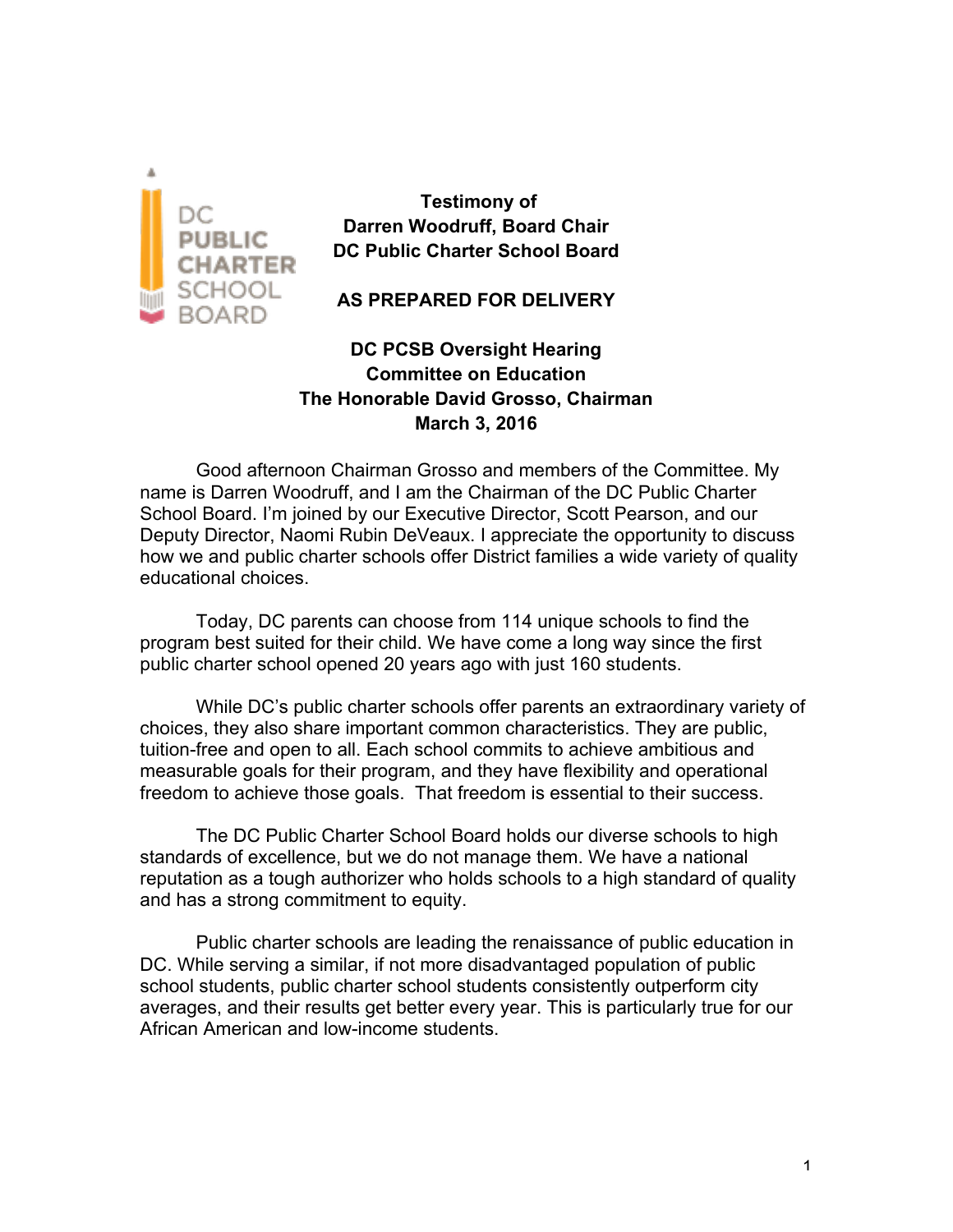

**Testimony of Darren Woodruff, Board Chair DC Public Charter School Board**

**AS PREPARED FOR DELIVERY**

**DC PCSB Oversight Hearing Committee on Education The Honorable David Grosso, Chairman March 3, 2016**

Good afternoon Chairman Grosso and members of the Committee. My name is Darren Woodruff, and I am the Chairman of the DC Public Charter School Board. I'm joined by our Executive Director, Scott Pearson, and our Deputy Director, Naomi Rubin DeVeaux. I appreciate the opportunity to discuss how we and public charter schools offer District families a wide variety of quality educational choices.

Today, DC parents can choose from 114 unique schools to find the program best suited for their child. We have come a long way since the first public charter school opened 20 years ago with just 160 students.

While DC's public charter schools offer parents an extraordinary variety of choices, they also share important common characteristics. They are public, tuition-free and open to all. Each school commits to achieve ambitious and measurable goals for their program, and they have flexibility and operational freedom to achieve those goals. That freedom is essential to their success.

The DC Public Charter School Board holds our diverse schools to high standards of excellence, but we do not manage them. We have a national reputation as a tough authorizer who holds schools to a high standard of quality and has a strong commitment to equity.

Public charter schools are leading the renaissance of public education in DC. While serving a similar, if not more disadvantaged population of public school students, public charter school students consistently outperform city averages, and their results get better every year. This is particularly true for our African American and low-income students.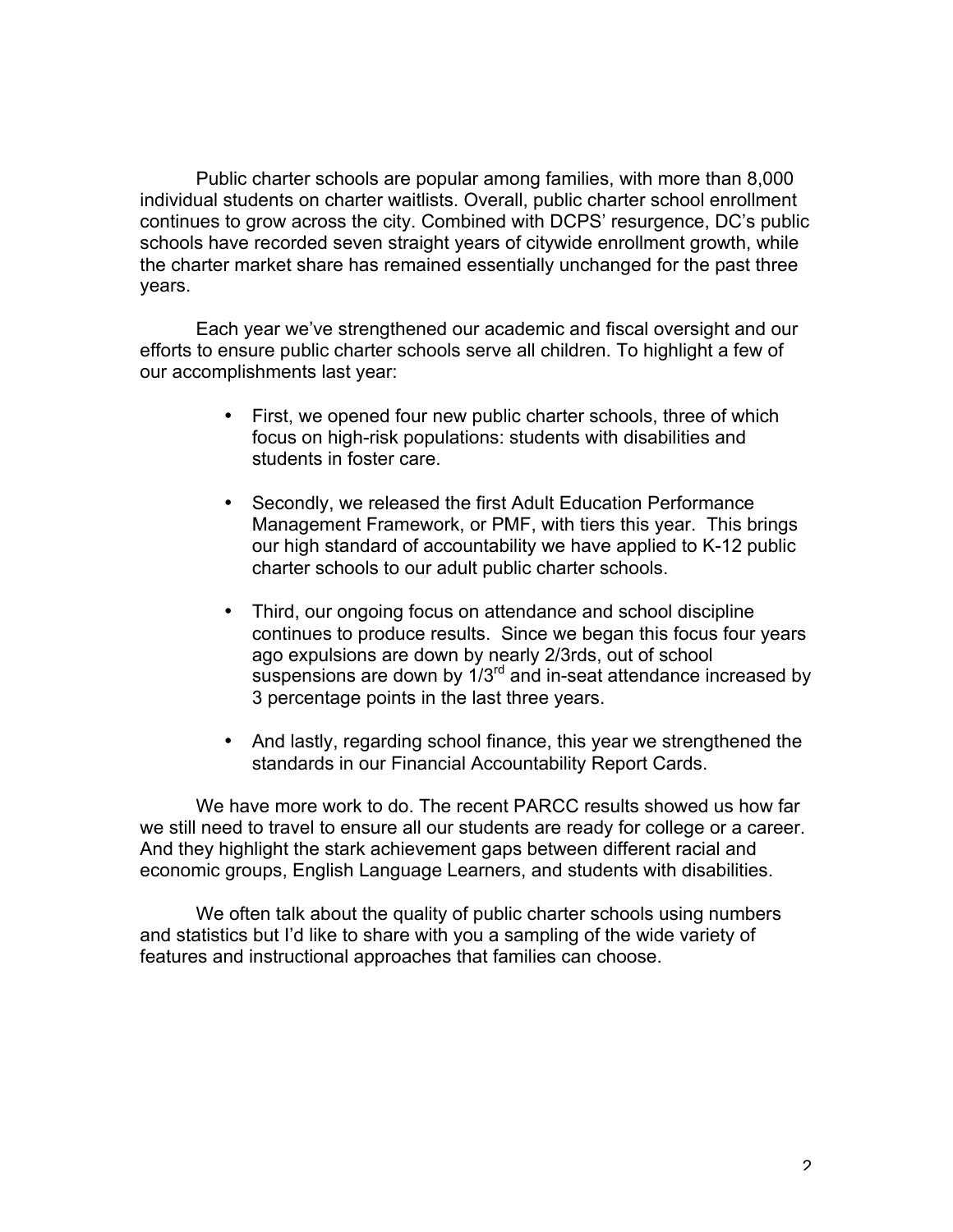Public charter schools are popular among families, with more than 8,000 individual students on charter waitlists. Overall, public charter school enrollment continues to grow across the city. Combined with DCPS' resurgence, DC's public schools have recorded seven straight years of citywide enrollment growth, while the charter market share has remained essentially unchanged for the past three years.

Each year we've strengthened our academic and fiscal oversight and our efforts to ensure public charter schools serve all children. To highlight a few of our accomplishments last year:

- First, we opened four new public charter schools, three of which focus on high-risk populations: students with disabilities and students in foster care.
- Secondly, we released the first Adult Education Performance Management Framework, or PMF, with tiers this year. This brings our high standard of accountability we have applied to K-12 public charter schools to our adult public charter schools.
- Third, our ongoing focus on attendance and school discipline continues to produce results. Since we began this focus four years ago expulsions are down by nearly 2/3rds, out of school suspensions are down by 1/3<sup>rd</sup> and in-seat attendance increased by 3 percentage points in the last three years.
- And lastly, regarding school finance, this year we strengthened the standards in our Financial Accountability Report Cards.

We have more work to do. The recent PARCC results showed us how far we still need to travel to ensure all our students are ready for college or a career. And they highlight the stark achievement gaps between different racial and economic groups, English Language Learners, and students with disabilities.

We often talk about the quality of public charter schools using numbers and statistics but I'd like to share with you a sampling of the wide variety of features and instructional approaches that families can choose.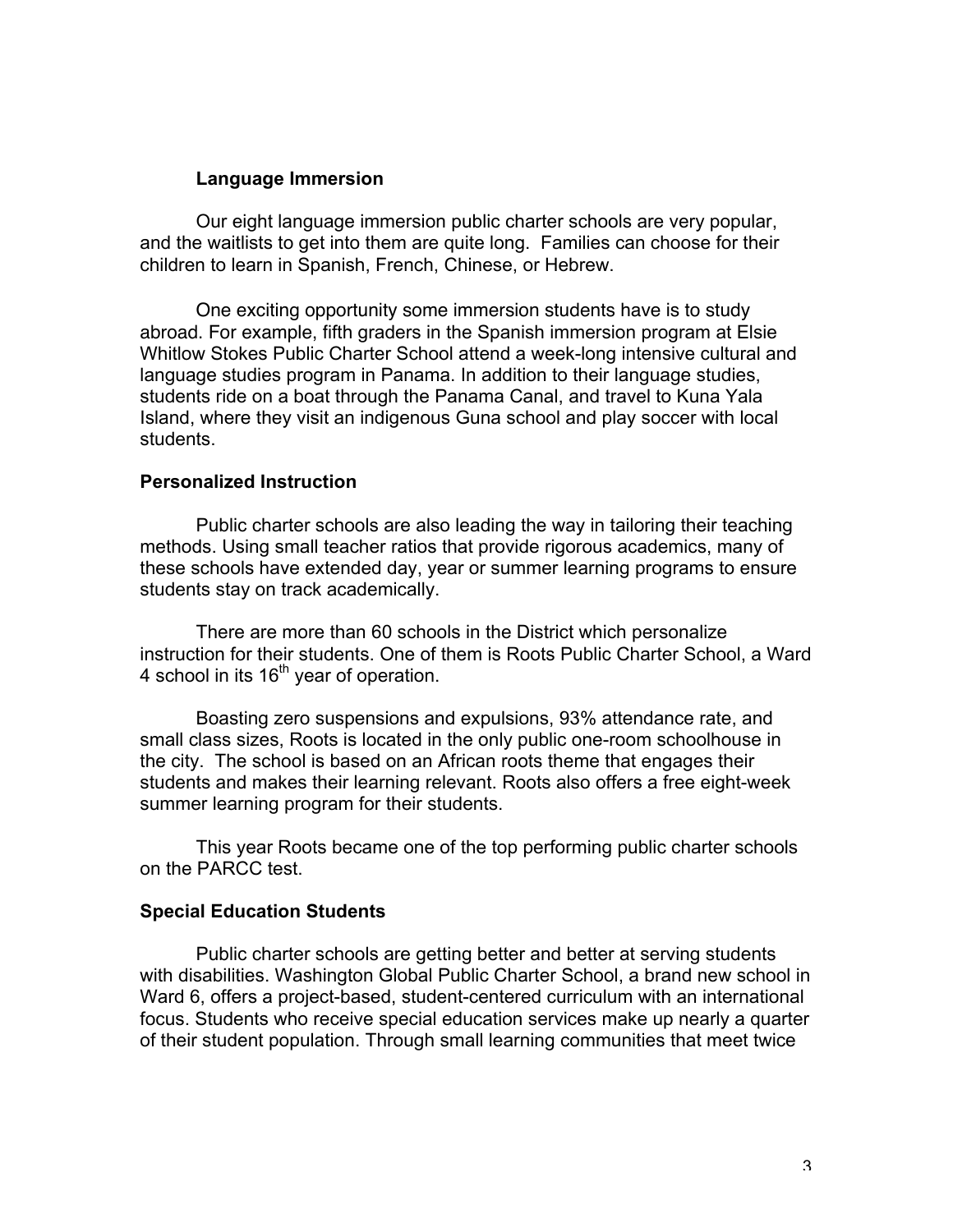## **Language Immersion**

Our eight language immersion public charter schools are very popular, and the waitlists to get into them are quite long. Families can choose for their children to learn in Spanish, French, Chinese, or Hebrew.

One exciting opportunity some immersion students have is to study abroad. For example, fifth graders in the Spanish immersion program at Elsie Whitlow Stokes Public Charter School attend a week-long intensive cultural and language studies program in Panama. In addition to their language studies, students ride on a boat through the Panama Canal, and travel to Kuna Yala Island, where they visit an indigenous Guna school and play soccer with local students.

## **Personalized Instruction**

Public charter schools are also leading the way in tailoring their teaching methods. Using small teacher ratios that provide rigorous academics, many of these schools have extended day, year or summer learning programs to ensure students stay on track academically.

There are more than 60 schools in the District which personalize instruction for their students. One of them is Roots Public Charter School, a Ward 4 school in its  $16<sup>th</sup>$  year of operation.

Boasting zero suspensions and expulsions, 93% attendance rate, and small class sizes, Roots is located in the only public one-room schoolhouse in the city. The school is based on an African roots theme that engages their students and makes their learning relevant. Roots also offers a free eight-week summer learning program for their students.

This year Roots became one of the top performing public charter schools on the PARCC test.

## **Special Education Students**

Public charter schools are getting better and better at serving students with disabilities. Washington Global Public Charter School, a brand new school in Ward 6, offers a project-based, student-centered curriculum with an international focus. Students who receive special education services make up nearly a quarter of their student population. Through small learning communities that meet twice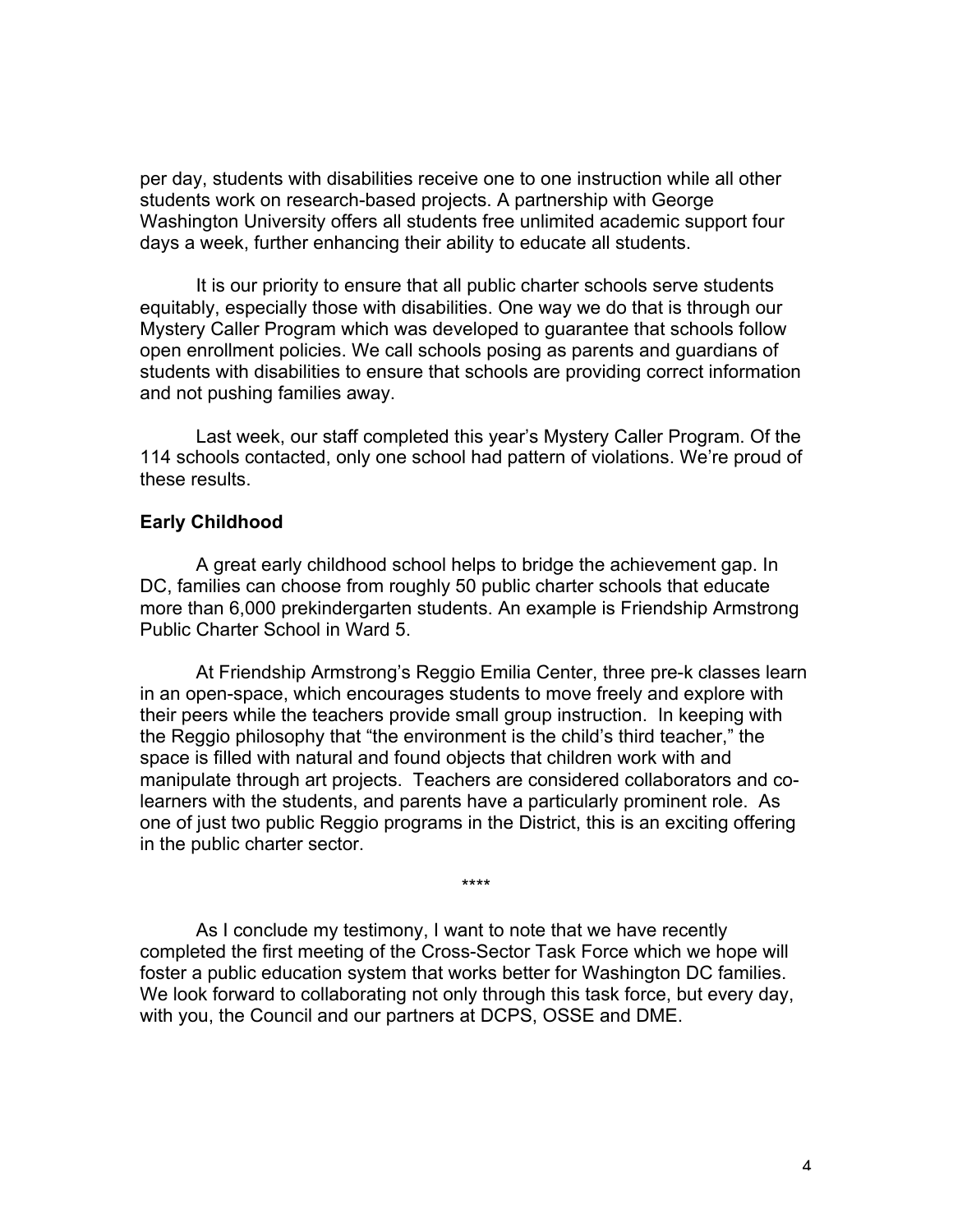per day, students with disabilities receive one to one instruction while all other students work on research-based projects. A partnership with George Washington University offers all students free unlimited academic support four days a week, further enhancing their ability to educate all students.

It is our priority to ensure that all public charter schools serve students equitably, especially those with disabilities. One way we do that is through our Mystery Caller Program which was developed to guarantee that schools follow open enrollment policies. We call schools posing as parents and guardians of students with disabilities to ensure that schools are providing correct information and not pushing families away.

Last week, our staff completed this year's Mystery Caller Program. Of the 114 schools contacted, only one school had pattern of violations. We're proud of these results.

## **Early Childhood**

A great early childhood school helps to bridge the achievement gap. In DC, families can choose from roughly 50 public charter schools that educate more than 6,000 prekindergarten students. An example is Friendship Armstrong Public Charter School in Ward 5.

At Friendship Armstrong's Reggio Emilia Center, three pre-k classes learn in an open-space, which encourages students to move freely and explore with their peers while the teachers provide small group instruction. In keeping with the Reggio philosophy that "the environment is the child's third teacher," the space is filled with natural and found objects that children work with and manipulate through art projects. Teachers are considered collaborators and colearners with the students, and parents have a particularly prominent role. As one of just two public Reggio programs in the District, this is an exciting offering in the public charter sector.

\*\*\*\*

As I conclude my testimony, I want to note that we have recently completed the first meeting of the Cross-Sector Task Force which we hope will foster a public education system that works better for Washington DC families. We look forward to collaborating not only through this task force, but every day, with you, the Council and our partners at DCPS, OSSE and DME.